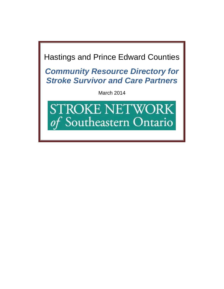Hastings and Prince Edward Counties

*Community Resource Directory for Stroke Survivor and Care Partners*

March 2014

**STROKE NETWORK** of Southeastern Ontario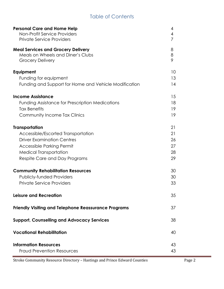## Table of Contents

| <b>Personal Care and Home Help</b><br>Non-Profit Service Providers<br><b>Private Service Providers</b>    | 4<br>4<br>7 |
|-----------------------------------------------------------------------------------------------------------|-------------|
| <b>Meal Services and Grocery Delivery</b><br>Meals on Wheels and Diner's Clubs<br><b>Grocery Delivery</b> | 8<br>8<br>9 |
| Equipment                                                                                                 | 10          |
| Funding for equipment                                                                                     | 13          |
| Funding and Support for Home and Vehicle Modification                                                     | 14          |
| <b>Income Assistance</b>                                                                                  | 15          |
| <b>Funding Assistance for Prescription Medications</b>                                                    | 18          |
| <b>Tax Benefits</b>                                                                                       | 19          |
| <b>Community Income Tax Clinics</b>                                                                       | 19          |
| <b>Transportation</b>                                                                                     | 21          |
| Accessible/Escorted Transportation                                                                        | 21          |
| <b>Driver Examination Centres</b>                                                                         | 26          |
| Accessible Parking Permit                                                                                 | 27          |
| <b>Medical Transportation</b>                                                                             | 28          |
| Respite Care and Day Programs                                                                             | 29          |
| <b>Community Rehabilitation Resources</b>                                                                 | 30          |
| <b>Publicly-funded Providers</b>                                                                          | 30          |
| <b>Private Service Providers</b>                                                                          | 33          |
| Leisure and Recreation                                                                                    | 35          |
| <b>Friendly Visiting and Telephone Reassurance Programs</b>                                               | 37          |
| <b>Support, Counselling and Advocacy Services</b>                                                         | 38          |
| <b>Vocational Rehabilitation</b>                                                                          | 40          |
| <b>Information Resources</b>                                                                              | 43          |
| <b>Fraud Prevention Resources</b>                                                                         | 43          |

Stroke Community Resource Directory – Hastings and Prince Edward Counties Page 2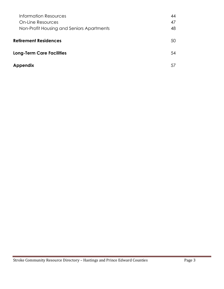| Information Resources                     | 44 |
|-------------------------------------------|----|
| <b>On-Line Resources</b>                  | 47 |
| Non-Profit Housing and Seniors Apartments | 48 |
|                                           |    |
| <b>Retirement Residences</b>              | 50 |
|                                           | 54 |
| <b>Long-Term Care Facilities</b>          |    |
| <b>Appendix</b>                           | 57 |
|                                           |    |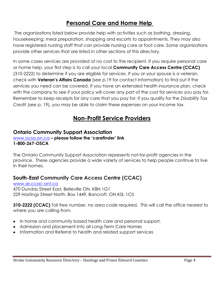## **Personal Care and Home Help**

The organizations listed below provide help with activities such as bathing, dressing, housekeeping, meal preparation, shopping and escorts to appointments. They may also have registered nursing staff that can provide nursing care or foot care. Some organizations provide other services that are listed in other sections of this directory.

In some cases services are provided at no cost to the recipient. If you require personal care or home help, your first step is to call your local **Community Care Access Centre (CCAC)** (310-2222) to determine if you are eligible for services. If you or your spouse is a veteran, check with **Veteran's Affairs Canada** (see p.19 for contact information) to find out if the services you need can be covered. If you have an extended health insurance plan, check with the company to see if your policy will cover any part of the cost for services you pay for. Remember to keep receipts for any care that you pay for; if you qualify for the *Disability Tax Credit* (see p. 19), you may be able to claim these expenses on your income tax.

## **Non-Profit Service Providers**

#### **Ontario Community Support Association**

[www.ocsa.on.ca](http://www.ocsa.on.ca/) **– please follow the 'carefinder' link 1-800-267-OSCA**

The Ontario Community Support Association represents not-for-profit agencies in the province. These agencies provide a wide variety of services to help people continue to live in their homes.

### **South-East Community Care Access Centre (CCAC)**

[www.se.ccac-ont.ca](http://www.se.ccac-ont.ca/) 470 Dundas Street East, Belleville ON, K8N 1G1 229 Hastings Street North, Box 1449, Bancroft, ON K0L 1C0

**310-2222 (CCAC)** Toll free number, no area code required. This will call the office nearest to where you are calling from.

- In home and community based health care and personal support.
- Admission and placement into all Long-Term Care Homes
- Information and Referral to health and related support services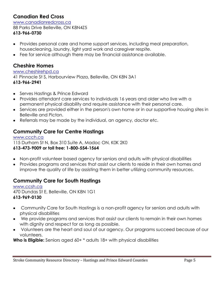## **Canadian Red Cross**

[www.canadianredcross.ca](http://www.canadianredcross.ca/) 88 Parks Drive Belleville, ON K8N4Z5 **613-966-0730**

- Provides personal care and home support services, including meal preparation, housecleaning, laundry, light yard work and caregiver respite.
- Fee for service although there may be financial assistance available.

#### **Cheshire Homes**

#### [www.cheshirehpd.ca](http://www.cheshirehpd.ca/)

41 Pinnacle St S, Harbourview Plaza, Belleville, ON K8N 3A1 **613-966-2941**

- Serves Hastings & Prince Edward
- Provides attendant care services to individuals 16 years and older who live with a permanent physical disability and require assistance with their personal care.
- Services are provided either in the person's own home or in our supportive housing sites in Belleville and Picton.
- Referrals may be made by the individual, an agency, doctor etc.

### **Community Care for Centre Hastings**

[www.ccch.ca](http://www.ccch.ca/) 115 Durham St N, Box 310 Suite A, Madoc ON, K0K 2K0 **613-473-9009 or toll free: 1-800-554-1564**

- Non-profit volunteer based agency for seniors and adults with physical disabilities
- Provides programs and services that assist our clients to reside in their own homes and improve the quality of life by assisting them in better utilizing community resources.

### **Community Care for South Hastings**

[www.ccsh.ca](http://www.ccsh.ca/) 470 Dundas St E, Belleville, ON K8N 1G1 **613-969-0130**

- Community Care for South Hastings is a non-profit agency for seniors and adults with physical disabilities
- We provide programs and services that assist our clients to remain in their own homes  $\bullet$ with dignity and respect for as long as possible.
- Volunteers are the heart and soul of our agency. Our programs succeed because of our volunteers.

**Who is Eligible:** Seniors aged 60+  $*$  adults 18+ with physical disabilities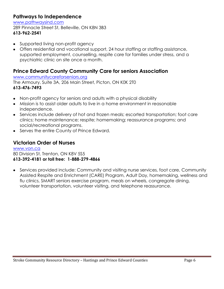#### **Pathways to Independence**

[www.pathwaysind.com](http://www.pathwaysind.com/)

289 Pinnacle Street St, Belleville, ON K8N 3B3 **613-962-2541**

- Supported living non-profit agency
- Offers residential and vocational support, 24 hour staffing or staffing assistance, supported employment, counselling, respite care for families under stress, and a psychiatric clinic on site once a month.

## **Prince Edward County Community Care for seniors Association**

[www.communitycareforseniors.org](http://www.communitycareforseniors.org/)

The Armoury, Suite 3A, 206 Main Street, Picton, ON K0K 2T0 **613-476-7493** 

- Non-profit agency for seniors and adults with a physical disability  $\bullet$
- Mission is to assist older adults to live in a home environment in reasonable independence.
- Services include delivery of hot and frozen meals; escorted transportation; foot care clinics; home maintenance; respite; homemaking; reassurance programs; and social/recreational programs.
- Serves the entire County of Prince Edward.

### **Victorian Order of Nurses**

[www.von.ca](http://www.von.ca/) 80 Division St, Trenton, ON K8V 5S5 **613-392-4181 or toll free: 1-888-279-4866**

Services provided include: Community and visiting nurse services, foot care, Community Assisted Respite and Enrichment (CARE) Program, Adult Day, homemaking, wellness and flu clinics, SMART seniors exercise program, meals on wheels, congregate dining, volunteer transportation, volunteer visiting, and telephone reassurance.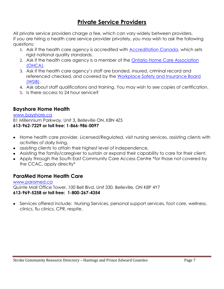## **Private Service Providers**

All private service providers charge a fee, which can vary widely between providers. If you are hiring a health care service provider privately, you may wish to ask the following questions:

- 1. Ask if the health care agency is accredited with [Accreditation Canada,](http://www.accreditation-canada.ca/) which sets rigid national quality standards.
- 2. Ask if the health care agency is a member of the [Ontario Home Care Association](http://www.homecareontario.ca/)  [\(OHCA\).](http://www.homecareontario.ca/)
- 3. Ask if the health care agency's staff are bonded, insured, criminal record and referenced checked, and covered by the [Workplace Safety and Insurance Board](http://www.wsib.on.ca/)  [\(WSIB\).](http://www.wsib.on.ca/)
- 4. Ask about staff qualifications and training. You may wish to see copies of certification.
- 5. Is there access to 24 hour service?

### **Bayshore Home Health**

#### [www.bayshore.ca](http://www.bayshore.ca/)

81 Millennium Parkway, Unit 3**,** Belleville ON, K8N 4Z5 **613-962-7229 or toll free: 1-866-986-0097**

- Home health care provider, Licensed/Regulated, visit nursing services, assisting clients with activities of daily living,
- assisting clients to attain their highest level of independence,
- Assisting the family/caregiver to sustain or expand their capability to care for their client.
- Apply through the South East Community Care Access Centre \*for those not covered by the CCAC, apply directly\*

### **ParaMed Home Health Care**

[www.paramed.ca](http://www.paramed.ca/) Quinte Mall Office Tower, 100 Bell Blvd, Unit 330, Belleville, ON K8P 4Y7 **613-969-5258 or toll free: 1-800-267-4354**

• Services offered include: Nursing Services, personal support services, foot care, wellness, clinics, flu clinics, CPR, respite.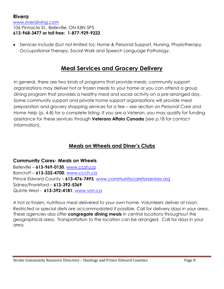#### **Rivera** [www.riveraliving.com](http://www.riveraliving.com/) 106 Pinnacle St., Belleville, ON K8N 5P5 **613-968-3477 or toll free: 1-877-929-9222**

Services include (but not limited to): Home & Personal Support, Nursing, Physiotherapy, Occupational Therapy, Social Work and Speech Language Pathology.

## **Meal Services and Grocery Delivery**

In general, there are two kinds of programs that provide meals: community support organizations may deliver hot or frozen meals to your home or you can attend a group dining program that provides a healthy meal and social activity on a pre-arranged day. Some community support and private home support organizations will provide meal preparation and grocery shopping services for a fee – see section on *Personal Care and Home Help* (p. 4-8) for a complete listing. If you are a Veteran, you may qualify for funding assistance for these services through **Veterans Affairs Canada** (see p.18 for contact information).

### **Meals on Wheels and Diner's Clubs**

**Community Cares- Meals on Wheels**  Belleville – **613-969-0130**, [www.ccsh.ca](http://www.ccsh.ca/) Bancroft – **613-332-4700**, [www.ccch.ca](http://www.ccch.ca/) Prince Edward County – **613-476-7493**, [www.communitycareforseniors.org](http://www.communitycareforseniors.org/) Sidney/Frankford – **613-392-5369** Quinte West - **613-392-4181**, [www.von.ca](http://www.von.ca/) 

A hot or frozen, nutritious meal delivered to your own home. Volunteers deliver at noon. Restricted or special diets are accommodated if possible. Call for delivery days in your area. These agencies also offer **congregate dining meals** in central locations throughout the geographical area. Transportation to the location can be arranged. Call for days in your area.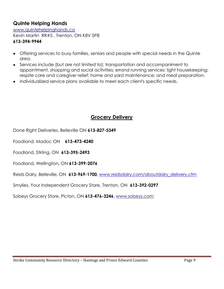#### **Quinte Helping Hands**

[www.quintehelpinghands.ca](http://www.quintehelpinghands.ca/) Kevin Martin RR#5 , Trenton, ON K8V 5P8 **613-394-9944**

- Offering services to busy families, seniors and people with special needs in the Quinte area.
- Services include (but are not limited to): transportation and accompaniment to appointment, shopping and social activities; errand running services; light housekeeping; respite care and caregiver relief; home and yard maintenance; and meal preparation.
- Individualized service plans available to meet each client's specific needs.

#### **Grocery Delivery**

Done Right Deliveries, Belleville ON **613-827-5349**

Foodland, Madoc ON **613-473-4240**

Foodland, Stirling, ON **613-395-2493**

Foodland, Wellington, ON **613-399-2076**

Reids Dairy, Belleville, ON **613-969-1700**, [www.reidsdairy.com/aboutdairy\\_delivery.cfm](http://www.reidsdairy.com/aboutdairy_delivery.cfm)

Smylies, Your Independent Grocery Store, Trenton, ON **613-392-0297**

Sobeys Grocery Store, Picton, ON **613-476-3246**, [www.sobeys.com](http://www.sobeys.com/)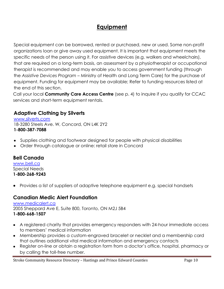## **Equipment**

Special equipment can be borrowed, rented or purchased, new or used. Some non-profit organizations loan or give away used equipment. It is important that equipment meets the specific needs of the person using it. For assistive devices (e.g. walkers and wheelchairs), that are required on a long-term basis, an assessment by a physiotherapist or occupational therapist is recommended and may enable you to access government funding (through the *Assistive Devices Program* – Ministry of Health and Long Term Care) for the purchase of equipment. Funding for equipment may be available; Refer to funding resources listed at the end of this section.

Call your local **Community Care Access Centre** (see p. 4) to inquire if you qualify for CCAC services and short-term equipment rentals.

### **Adaptive Clothing by Silverts**

[www.silverts.com](http://www.silverts.com/) 18-3280 Steels Ave. W, Concord, ON L4K 2Y2 **1-800-387-7088**

- Supplies clothing and footwear designed for people with physical disabilities
- Order through catalogue or online: retail store in Concord

#### **Bell Canada**

[www.bell.ca](http://www.bell.ca/) Special Needs **1-800-268-9243**

Provides a list of suppliers of adaptive telephone equipment e.g. special handsets

#### **Canadian Medic Alert Foundation**

[www.medicalert.ca](http://www.medicalert.ca/) 2005 Sheppard Ave E, Suite 800, Toronto, ON M2J 5B4 **1-800-668-1507** 

- A registered charity that provides emergency responders with 24-hour immediate access to members' medical information
- Membership provides a custom-engraved bracelet or necklet and a membership card that outlines additional vital medical information and emergency contacts
- Register on-line or obtain a registration form from a doctor's office, hospital, pharmacy or by calling the toll-free number.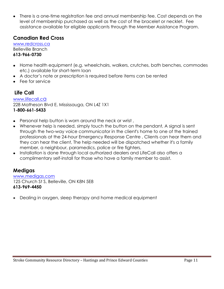There is a one-time registration fee and annual membership fee. Cost depends on the  $\bullet$ level of membership purchased as well as the cost of the bracelet or necklet. Fee assistance available for eligible applicants through the Member Assistance Program.

#### **Canadian Red Cross**

[www.redcross.ca](http://www.redcross.ca/) Belleville Branch **613-966-0730**

- Home health equipment (e.g. wheelchairs, walkers, crutches, bath benches, commodes etc.) available for short-term loan
- A doctor's note or prescription is required before items can be rented
- Fee for service

### **Life Call**

[www.lifecall.c](http://www.lifecall.ca/)a 228 Matheson Blvd E, Mississauga, ON L4Z 1X1 **1-800-661-5433**

- Personal help button is worn around the neck or wrist ,  $\bullet$
- Whenever help is needed, simply touch the button on the pendant, A signal is sent  $\bullet$ through the two-way voice communicator in the client's home to one of the trained professionals at the 24-hour Emergency Response Centre , Clients can hear them and they can hear the client, The help needed will be dispatched whether it's a family member, a neighbour, paramedics, police or fire fighters,
- Installation is done through local authorized dealers and LifeCall also offers a complimentary self-install for those who have a family member to assist.

#### **Medigas**

[www.medigas.com](http://www.medigas.com/) 125 Church St S, Belleville, ON K8N 5E8 **613-969-4450**

Dealing in oxygen, sleep therapy and home medical equipment $\bullet$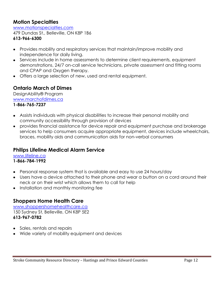#### **Motion Specialties**

[www.motionspecialties.com](http://www.motionspecialties.com/) 479 Dundas St., Belleville, ON K8P 1B6 **613-966-6300**

- Provides mobility and respiratory services that maintain/improve mobility and  $\bullet$ independence for daily living.
- Services include in home assessments to determine client requirements, equipment demonstrations, 24/7 on-call service technicians, private assessment and fitting rooms and CPAP and Oxygen therapy.
- Offers a large selection of new, used and rental equipment.

#### **Ontario March of Dimes**

DesignAbility® Program [www.marchofdimes.ca](http://www.marchofdimes.ca/) **1-866-765-7237**

- Assists individuals with physical disabilities to increase their personal mobility and community accessibility through provision of devices
- provides financial assistance for device repair and equipment purchase and brokerage  $\bullet$ services to help consumers acquire appropriate equipment, devices include wheelchairs, braces, mobility aids and communication aids for non-verbal consumers

#### **Philips Lifeline Medical Alarm Service**

[www.lifeline.ca](http://www.lifeline.ca/)

#### **1-866-784-1992**

- Personal response system that is available and easy to use 24 hours/day
- Users have a device attached to their phone and wear a button on a cord around their neck or on their wrist which allows them to call for help
- Installation and monthly monitoring fee

#### **Shoppers Home Health Care**

[www.shoppershomehealthcare.ca](http://www.shoppershomehealthcare.ca/) 150 Sydney St, Belleville, ON K8P 5E2 **613-967-0782**

- Sales, rentals and repairs
- Wide variety of mobility equipment and devices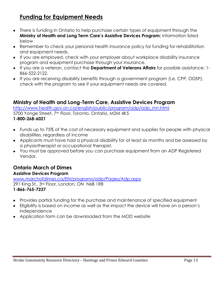## **Funding for Equipment Needs**

- There is funding in Ontario to help purchase certain types of equipment through the **Ministry of Health and Long Term Care's Assistive Devices Program;** information listed below
- Remember to check your personal health insurance policy for funding for rehabilitation and equipment needs.
- If you are employed, check with your employer about workplace disability insurance program and equipment purchase through your insurance.
- If you are a veteran, contact the **Department of Veterans Affairs** for possible assistance: 1- 866-522-2122.
- If you are receiving disability benefits through a government program (i.e. CPP, ODSP), check with the program to see if your equipment needs are covered.

#### **Ministry of Health and Long-Term Care, Assistive Devices Program**

[http://www.health.gov.on.ca/english/public/program/adp/adp\\_mn.html](http://www.health.gov.on.ca/english/public/program/adp/adp_mn.html)

5700 Yonge Street, 7<sup>th</sup> Floor, Toronto, Ontario, M2M 4K5 **1-800-268-6021**

- Funds up to 75% of the cost of necessary equipment and supplies for people with physical disabilities, regardless of income
- Applicants must have had a physical disability for at least six months and be assessed by a physiotherapist or occupational therapist.
- You must be approved before you can purchase equipment from an ADP Registered Vendor.

## **Ontario March of Dimes**

**Assistive Devices Program** [www.marchofdimes.ca/EN/programs/adp/Pages/Adp.aspx](http://www.marchofdimes.ca/EN/programs/adp/Pages/Adp.aspx) 291 King St., 3rd Floor, London, ON N6B 1R8 **1-866-765-7237**

- Provides partial funding for the purchase and maintenance of specified equipment
- Eligibility is based on income as well as the impact the device will have on a person's independence
- Application form can be downloaded from the MOD website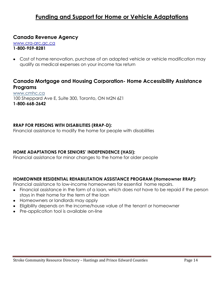## **Funding and Support for Home or Vehicle Adaptations**

#### **Canada Revenue Agency**

[www.cra-arc.gc.ca](http://www.cra-arc.gc.ca/) **1-800-959-8281**

Cost of home renovation, purchase of an adapted vehicle or vehicle modification may qualify as medical expenses on your income tax return

#### **Canada Mortgage and Housing Corporation- Home Accessibility Assistance Programs**

[www.cmhc.ca](http://www.cmhc.ca/) 100 Sheppard Ave E, Suite 300, Toronto, ON M2N 6Z1 **1-800-668-2642**

#### **RRAP FOR PERSONS WITH DISABILITIES (RRAP-D):**

Financial assistance to modify the home for people with disabilities

#### **HOME ADAPTATIONS FOR SENIORS' INDEPENDENCE (HASI):**

Financial assistance for minor changes to the home for older people

#### **HOMEOWNER RESIDENTIAL REHABILITATION ASSISTANCE PROGRAM (Homeowner RRAP):**

Financial assistance to low-income homeowners for essential home repairs.

- Financial assistance in the form of a loan, which does not have to be repaid if the person  $\bullet$ stays in their home for the term of the loan
- Homeowners or landlords may apply
- Eligibility depends on the income/house value of the tenant or homeowner
- Pre-application tool is available on-line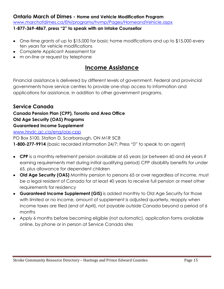#### **Ontario March of Dimes - Home and Vehicle Modification Program**

[www.marchofdimes.ca/EN/programs/hvmp/Pages/HomeandVehicle.aspx](http://www.marchofdimes.ca/EN/programs/hvmp/Pages/HomeandVehicle.aspx)

#### **1-877-369-4867, press "2" to speak with an Intake Counsellor**

- One-time grants of up to \$15,000 for basic home modifications and up to \$15,000 every ten years for vehicle modifications
- Complete Applicant Assessment for
- m on-line or request by telephone

## **Income Assistance**

Financial assistance is delivered by different levels of government. Federal and provincial governments have service centres to provide one-stop access to information and applications for assistance, in addition to other government programs.

#### **Service Canada**

#### **Canada Pension Plan (CPP), Toronto and Area Office**

**Old Age Security (OAS) Programs**

#### **Guaranteed Income Supplement**

[www.hrsdc.gc.ca/eng/oas-cpp](http://www.hrsdc.gc.ca/eng/oas-cpp)

PO Box 5100, Station D, Scarborough, ON M1R 5C8

**1-800-277-9914** (basic recorded information 24/7; Press "0" to speak to an agent)

- **CPP** is a monthly retirement pension available at 65 years (or between 60 and 64 years if earning requirements met during initial qualifying period) CPP disability benefits for under 65, plus allowance for dependent children
- **Old Age Security (OAS)** Monthly pension to persons 65 or over regardless of income, must be a legal resident of Canada for at least 40 years to receive full pension or meet other requirements for residency
- **Guaranteed Income Supplement (GIS)** is added monthly to Old Age Security for those with limited or no income, amount of supplement is adjusted quarterly, reapply when income taxes are filed (end of April), not payable outside Canada beyond a period of 6 months
- Apply 6 months before becoming eligible (not automatic), application forms available online, by phone or in person at Service Canada sites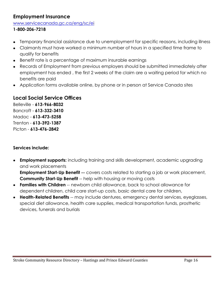### **Employment Insurance**

[www.servicecanada.gc.ca/eng/sc/ei](http://www.servicecanada.gc.ca/eng/sc/ei)

#### **1-800-206-7218**

- Temporary financial assistance due to unemployment for specific reasons, including illness
- Claimants must have worked a minimum number of hours in a specified time frame to qualify for benefits
- Benefit rate is a percentage of maximum insurable earnings
- Records of Employment from previous employers should be submitted immediately after  $\bullet$ employment has ended , the first 2 weeks of the claim are a waiting period for which no benefits are paid
- Application forms available online, by phone or in person at Service Canada sites  $\bullet$

## **Local Social Service Offices**

Belleville - **613-966-8032** Bancroft - **613-332-3410** Madoc - **613-473-5258** Trenton - **613-392-1387** Picton - **613-476-2842**

#### **Services include:**

 $\bullet$ **Employment supports:** including training and skills development, academic upgrading and work placements

**Employment Start-Up Benefit --** covers costs related to starting a job or work placement, **Community Start-Up Benefit** -- help with housing or moving costs

- **Families with Children** -- newborn child allowance, back to school allowance for dependent children, child care start-up costs, basic dental care for children,
- **Health-Related Benefits** -- may include dentures, emergency dental services, eyeglasses, special diet allowance, health care supplies, medical transportation funds, prosthetic devices, funerals and burials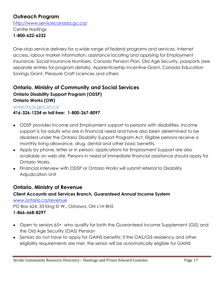## **Outreach Program**

<http://www.servicecanada.gc.ca/>

Centre Hastings **1-800-622-6232**

One-stop service delivery for a wide range of federal programs and services, Internet access, labour market information, assistance locating and applying for Employment Insurance, Social Insurance Numbers, Canada Pension Plan, Old Age Security, passports (see separate entries for program details), Apprenticeship Incentive Grant, Canada Education Savings Grant, Pleasure Craft Licences and others

#### **Ontario. Ministry of Community and Social Services Ontario Disability Support Program (ODSP) Ontario Works (OW)**

[www.mcss.gov.on.ca](http://www.mcss.gov.on.ca/)

#### **416-326-1234 or toll free: 1-800-267-8097**

- ODSP provides Income and Employment support to persons with disabilities. Income support is for adults who are in financial need and have also been determined to be disabled under the Ontario Disability Support Program Act. Eligible persons receive a monthly living allowance, drug, dental and other basic benefits.
- Apply by phone, letter or in person, applications for Employment Support are also available on web site. Persons in need of immediate financial assistance should apply for Ontario Works.
- Financial interview with ODSP or Ontario Works will submit referral to Disability Adjudication Unit

#### **Ontario. Ministry of Revenue**

**Client Accounts and Services Branch, Guaranteed Annual Income System** [www.ontario.ca/revenue](http://www.ontario.ca/revenue) PO Box 624, 33 King St W., Oshawa, ON L1H 8H5 **1-866-668-8297**

- Open to seniors 65+ who qualify for both the Guaranteed Income Supplement (GIS) and the Old Age Security (OAS) Pension
- Seniors do not have to apply for GAINS benefits; if the OAS/GIS residency and other eligibility requirements are met, the senior will be automatically eligible for GAINS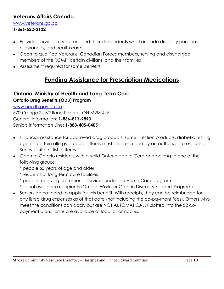#### **Veterans Affairs Canada**

#### [www.veterans.gc.ca](http://www.veterans.gc.ca/)

#### **1-866-522-2122**

- Provides services to veterans and their dependents which include disability pensions, allowances, and health care
- Open to qualified Veterans, Canadian Forces members, serving and discharged members of the RCMP, certain civilians; and their families
- Assessment required for some benefits

## **Funding Assistance for Prescription Medications**

#### **Ontario. Ministry of Health and Long-Term Care Ontario Drug Benefits (ODB) Program**

[www.health.gov.on.ca](http://www.health.gov.on.ca/) 5700 Yonge St, 3rd floor, Toronto, ON M2M 4K5 General Information: **1-866-811-9893** Seniors Information Line: **1-888-405-0405**

- Financial assistance for approved drug products, some nutrition products, diabetic testing agents, certain allergy products. Items must be prescribed by an authorized prescriber. See website for list of items
- Open to Ontario residents with a valid Ontario Health Card and belong to one of the following groups:
	- \* people 65 years of age and older
	- \* residents of long-term care facilities
	- \* people receiving professional services under the Home Care program
	- \* social assistance recipients (Ontario Works or Ontario Disability Support Program)
- Seniors do not need to apply for this benefit. With receipts, they can be reimbursed for any listed drug expenses as of that date (not including the co-payment fees). Others who meet the conditions can apply but are NOT AUTOMATICALLY slotted into the \$2 copayment plan. Forms are available at local pharmacies.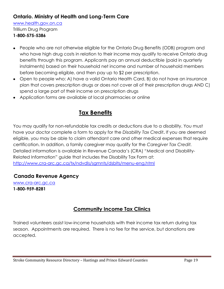### **Ontario. Ministry of Health and Long-Term Care**

[www.health.gov.on.ca](http://www.health.gov.on.ca/)

Trillium Drug Program

#### **1-800-575-5386**

- People who are not otherwise eligible for the Ontario Drug Benefits (ODB) program and who have high drug costs in relation to their income may qualify to receive Ontario drug benefits through this program. Applicants pay an annual deductible (paid in quarterly instalments) based on their household net income and number of household members before becoming eligible, and then pay up to \$2 per prescription.
- Open to people who: A) have a valid Ontario Health Card, B) do not have an insurance plan that covers prescription drugs or does not cover all of their prescription drugs AND C) spend a large part of their income on prescription drugs
- Application forms are available at local pharmacies or online

## **Tax Benefits**

You may qualify for non-refundable tax credits or deductions due to a disability. You must have your doctor complete a form to apply for the *Disability Tax Credit***.** If you are deemed eligible, you may be able to claim attendant care and other medical expenses that require certification. In addition, a family caregiver may qualify for the *Caregiver Tax Credit.* Detailed information is available in Revenue Canada's (CRA) "Medical and Disability-Related Information" guide that includes the Disability Tax Form at: <http://www.cra-arc.gc.ca/tx/ndvdls/sgmnts/dsblts/menu-eng.html>

#### **Canada Revenue Agency**

[www.cra-arc.gc.ca](http://www.cra-arc.gc.ca/) **1-800-959-8281** 

## **Community Income Tax Clinics**

Trained volunteers assist low-income households with their income tax return during tax season. Appointments are required. There is no fee for the service, but donations are accepted.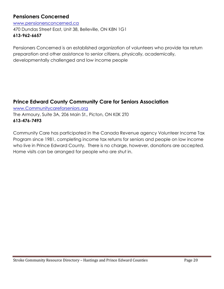#### **Pensioners Concerned**

[www.pensionersconcerned.ca](http://www.pensionersconcerned.ca/) 470 Dundas Street East, Unit 38, Belleville, ON K8N 1G1 **613-962-6657**

Pensioners Concerned is an established organization of volunteers who provide tax return preparation and other assistance to senior citizens, physically, academically, developmentally challenged and low income people

### **Prince Edward County Community Care for Seniors Association**

[www.Communitycareforseniors.org](http://www.communitycareforseniors.org/) The Armoury, Suite 3A, 206 Main St., Picton, ON K0K 2T0 **613-476-7493**

Community Care has participated in the Canada Revenue agency Volunteer Income Tax Program since 1981, completing income tax returns for seniors and people on low income who live in Prince Edward County. There is no charge, however, donations are accepted. Home visits can be arranged for people who are shut in.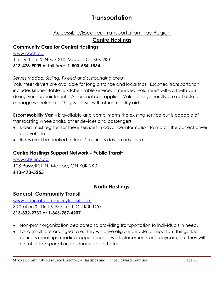## **Transportation**

#### Accessible/Escorted Transportation – by Region

#### **Centre Hastings**

#### **Community Care for Central Hastings**

[www.ccch.ca](http://www.ccch.ca/) 115 Durham St N Box 310, Madoc, On K0K 2K0 **613-473-9009 or toll free: 1-800-554-1564**

#### *Serves Madoc, Stirling, Tweed and surrounding area*

Volunteer drivers are available for long distance and local trips. Escorted transportation includes kitchen table to kitchen table service. If needed, volunteers will wait with you during your appointment. A nominal cost applies. Volunteers generally are not able to manage wheelchairs. They will assist with other mobility aids.

**Escort Mobility Van** – is available and compliments the existing service but is capable of transporting wheelchairs, other devices and passengers.

- Riders must register for these services in advance information to match the correct driver and vehicle.
- Rides must be booked at least 2 business days in advance.

#### **Centre Hastings Support Network - Public Transit**

[www.chsninc.ca](http://www.chsninc.ca/) 108 Russell St. N, Madoc, ON K0K 2K0 **613-473-5255**

#### **North Hastings**

#### **Bancroft Community Transit**

[www.bancroftcommunitytransit.com](http://www.bancroftcommunitytransit.com/) 33 Station St. Unit B, Bancroft, ON K0L 1C0 **613-332-2732 or 1-866-787-4907**

- Non-profit organization dedicated to providing transportation to individuals in need.
- For a small, pre-arranged fare, they will drive eligible people to important things like business meetings, medical appointments, work placements and daycare, but they will not offer transportation to liquor stores or hotels.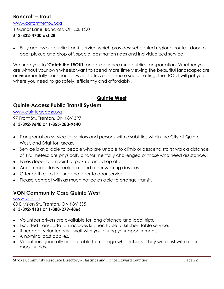#### **Bancroft – Trout**

[www.catchthetrout.ca](http://www.catchthetrout.ca/) 1 Manor Lane, Bancroft, ON L0L 1C0

#### **613-332-4700 ext.28**

Fully accessible public transit service which provides: scheduled regional routes, door to door pickup and drop off, special destination rides and individualized service.

We urge you to **'Catch the TROUT'** and experience rural public transportation. Whether you are without your own wheels; want to spend more time viewing the beautiful landscape; are environmentally conscious or want to travel in a more social setting, the TROUT will get you where you need to go safely, efficiently and affordably.

### **Quinte West**

#### **Quinte Access Public Transit System**

[www.quinteaccess.org](http://www.quinteaccess.org/) 97 Front St., Trenton, ON K8V 3P7 **613-392-9640 or 1-855-283-9640**

- Transportation service for seniors and persons with disabilities within the City of Quinte West, and Brighton areas.
- Service is available to people who are unable to climb or descend stairs; walk a distance of 175 meters; are physically and/or mentally challenged or those who need assistance.
- Fares depend on point of pick up and drop off.
- Accommodates wheelchairs and other walking devices.
- Offer both curb to curb and door to door service.
- Please contact with as much notice as able to arrange transit.

### **VON Community Care Quinte West**

[www.von.ca](http://www.von.ca/) 80 Division St., Trenton, ON K8V 5S5 **613-392-4181 or 1-888-279-4866**

- Volunteer drivers are available for long distance and local trips.
- Escorted transportation includes kitchen table to kitchen table service.
- If needed, volunteers will wait with you during your appointment.
- A nominal cost applies.
- Volunteers generally are not able to manage wheelchairs. They will assist with other mobility aids.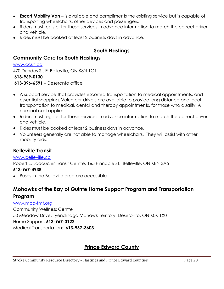- **Escort Mobility Van** is available and compliments the existing service but is capable of transporting wheelchairs, other devices and passengers.
- Riders must register for these services in advance information to match the correct driver and vehicle.
- Rides must be booked at least 2 business days in advance.

### **South Hastings**

#### **Community Care for South Hastings**

#### [www.ccsh.ca](http://www.ccsh.ca/)

470 Dundas St. E, Belleville, ON K8N 1G1 **613-969-0130**

**613-396-6591** – Deseronto office

- A support service that provides escorted transportation to medical appointments, and essential shopping. Volunteer drivers are available to provide long distance and local transportation to medical, dental and therapy appointments, for those who qualify. A nominal cost applies.
- Riders must register for these services in advance information to match the correct driver and vehicle.
- Rides must be booked at least 2 business days in advance.
- Volunteers generally are not able to manage wheelchairs. They will assist with other mobility aids.

#### **Belleville Transit**

#### [www.belleville.ca](http://www.belleville.ca/)

Robert E. Ladoucier Transit Centre, 165 Pinnacle St., Belleville, ON K8N 3A5

#### **613-967-4938**

Buses in the Belleville area are accessible

### **Mohawks of the Bay of Quinte Home Support Program and Transportation Program**

#### [www.mbq-tmt.org](http://www.mbq-tmt.org/)

Community Wellness Centre 50 Meadow Drive, Tyendinaga Mohawk Territory, Deseronto, ON K0K 1X0 Home Support: **613-967-0122** Medical Transportation: **613-967-3603** 

## **Prince Edward County**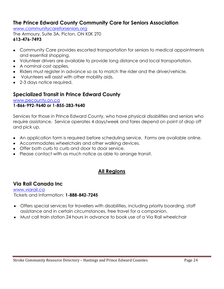#### **The Prince Edward County Community Care for Seniors Association**

[www.communitycareforseniors.org](http://www.communitycareforseniors.org/)

The Armoury, Suite 3A, Picton, ON K0K 2T0 **613-476-7493**

- Community Care provides escorted transportation for seniors to medical appointments and essential shopping.
- Volunteer drivers are available to provide long distance and local transportation.
- A nominal cost applies.
- Riders must register in advance so as to match the rider and the driver/vehicle.
- Volunteers will assist with other mobility aids.
- 2-3 days notice required.

#### **Specialized Transit in Prince Edward County**

[www.pecounty.on.ca](http://www.pecounty.on.ca/)

#### **1-866-992-9640 or 1-855-283-9640**

Services for those in Prince Edward County, who have physical disabilities and seniors who require assistance. Service operates 4 days/week and fares depend on point of drop off and pick up.

- An application form is required before scheduling service. Forms are available online.
- Accommodates wheelchairs and other walking devices.
- Offer both curb to curb and door to door service.
- Please contact with as much notice as able to arrange transit.

#### **All Regions**

#### **Via Rail Canada Inc**

[www.viarail.ca](http://www.viarail.ca/) Tickets and Information: **1-888-842-7245**

- Offers special services for travellers with disabilities, including priority boarding, staff assistance and in certain circumstances, free travel for a companion.
- Must call train station 24 hours in advance to book use of a Via Rail wheelchair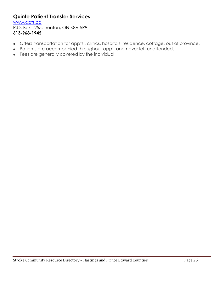#### **Quinte Patient Transfer Services**

[www.qpts.ca](http://www.qpts.ca/)

P.O. Box 1255, Trenton, ON K8V 5R9 **613-968-1945**

- Offers transportation for appts., clinics, hospitals, residence, cottage, out of province,  $\bullet$
- Patients are accompanied throughout appt, and never left unattended.  $\bullet$
- Fees are generally covered by the individual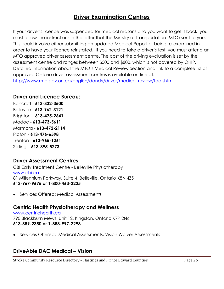## **Driver Examination Centres**

If your driver's licence was suspended for medical reasons and you want to get it back, you must follow the instructions in the letter that the Ministry of Transportation (MTO) sent to you. This could involve either submitting an updated Medical Report or being re-examined in order to have your licence reinstated. If you need to take a driver's test, you must attend an MTO approved driver assessment centre. The cost of the driving evaluation is set by the assessment centre and ranges between \$500 and \$800, which is not covered by OHIP. Detailed information about the MTO's Medical Review Section and link to a complete list of approved Ontario driver assessment centres is available on-line at: <http://www.mto.gov.on.ca/english/dandv/driver/medical-review/faq.shtml>

#### **Driver and Licence Bureau:**

Bancroft - **613-332-3500** Belleville - **613-962-3121** Brighton – **613-475-2641** Madoc - **613-473-5611** Marmora - **613-472-2114** Picton - **613-476-6598** Trenton - **613-965-1261** Stirling – **613-395-5273**

#### **Driver Assessment Centres**

CBI Early Treatment Centre - Belleville Physiotherapy [www.cbi.ca](http://www.cbi.ca/) 81 Millennium Parkway, Suite 4, Belleville, Ontario K8N 4Z5 **613-967-9675 or 1-800-463-2225**

Services Offered: Medical Assessments

#### **Centric Health Physiotherapy and Wellness**

[www.centrichealth.ca](http://www.centrichealth.ca/) 790 Blackburn Mews, Unit 12, Kingston, Ontario K7P 2N6 **613-389-2350 or 1-888-997-2298**

Services Offered**:** Medical Assessments, Vision Waiver Assessments

#### **DriveAble DAC Medical – Vision**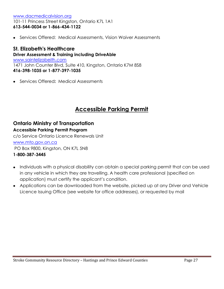#### [www.dacmedicalvision.org](http://www.dacmedicalvision.org/) 101-11 Princess Street Kingston, Ontario K7L 1A1 **613-544-0034 or 1-866-434-1122**

Services Offered:Medical Assessments, Vision Waiver Assessments

#### **St. Elizabeth's Healthcare Driver Assessment & Training including DriveAble** [www.saintelizabeith.com](http://www.saintelizabeith.com/) 1471 John Counter Blvd, Suite 410, Kingston, Ontario K7M 8S8 **416-398-1035 or 1-877-397-1035**

Services Offered**:** Medical Assessments

## **Accessible Parking Permit**

#### **Ontario Ministry of Transportation**

#### **Accessible Parking Permit Program**

c/o Service Ontario Licence Renewals Unit [www.mto.gov.on.ca](http://www.mto.gov.on.ca/)

PO Box 9800, Kingston, ON K7L 5N8

#### **1-800-387-3445**

- Individuals with a physical disability can obtain a special parking permit that can be used in any vehicle in which they are travelling. A health care professional (specified on application) must certify the applicant's condition.
- Applications can be downloaded from the website, picked up at any Driver and Vehicle Licence Issuing Office (see website for office addresses), or requested by mail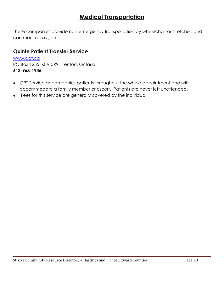## **Medical Transportation**

These companies provide non-emergency transportation by wheelchair or stretcher, and can monitor oxygen.

#### **Quinte Patient Transfer Service**

[www.qpt.ca](http://www.qpt.ca/) PO Box 1255, K8V 5R9, Trenton, Ontario **613-968-1945**

- QPT Service accompanies patients throughout the whole appointment and will accommodate a family member or escort. Patients are never left unattended.
- Fees for this service are generally covered by the individual.  $\bullet$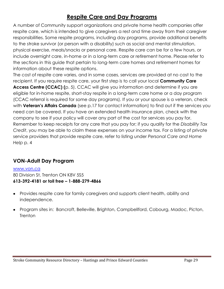## **Respite Care and Day Programs**

A number of Community support organizations and private home health companies offer respite care, which is intended to give caregivers a rest and time away from their caregiver responsibilities. Some respite programs, including day programs, provide additional benefits to the stroke survivor (or person with a disability) such as social and mental stimulation, physical exercise, meals/snacks or personal care. Respite care can be for a few hours, or include overnight care, in-home or in a long-term care or retirement home. Please refer to the sections in this guide that pertain to long-term care homes and retirement homes for information about these respite options.

The cost of respite care varies, and in some cases, services are provided at no cost to the recipient. If you require respite care, your first step is to call your local **Community Care Access Centre (CCAC) (**p. 5). CCAC will give you information and determine if you are eligible for in-home respite, short-stay respite in a long-term care home or a day program (CCAC referral is required for some day programs). If you or your spouse is a veteran, check with **Veteran's Affairs Canada** (see p.17 for contact information) to find out if the services you need can be covered. If you have an extended health insurance plan, check with the company to see if your policy will cover any part of the cost for services you pay for. Remember to keep receipts for any care that you pay for; if you qualify for the *Disability Tax Credit*, you may be able to claim these expenses on your income tax. For a listing of private service providers that provide respite care, refer to listing under *Personal Care and Home Help* p. 4

### **VON-Adult Day Program**

[www.von.ca](http://www.von.ca/) 80 Division St, Trenton ON K8V 5S5 **613-392-4181 or toll free – 1-888-279-4866**

- Provides respite care for family caregivers and supports client health, ability and independence.
- Program sites in: Bancroft, Belleville, Brighton, Campbellford, Cobourg, Madoc, Picton,  $\bullet$ **Trenton**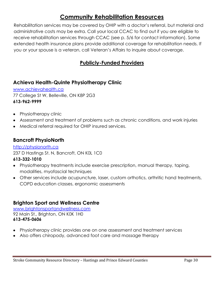## **Community Rehabilitation Resources**

Rehabilitation services may be covered by OHIP with a doctor's referral, but material and administrative costs may be extra. Call your local CCAC to find out if you are eligible to receive rehabilitation services through CCAC (see p. 5/6 for contact information). Some extended health insurance plans provide additional coverage for rehabilitation needs. If you or your spouse is a veteran, call Veteran's Affairs to inquire about coverage.

## **Publicly-Funded Providers**

### **Achieva Health-Quinte Physiotherapy Clinic**

[www.achievahealth.ca](http://www.achievahealth.ca/) 77 College St W, Belleville, ON K8P 2G3 **613-962-9999**

- Physiotherapy clinic
- Assessment and treatment of problems such as chronic conditions, and work injuries
- Medical referral required for OHIP insured services.

#### **Bancroft PhysioNorth**

#### [http://physionorth.ca](http://physionorth.ca/)

237 D Hastings St. N, Bancroft, ON K0L 1C0

#### **613-332-1010**

- Physiotherapy treatments include exercise prescription, manual therapy, taping, modalities, myofascial techniques
- Other services include acupuncture, laser, custom orthotics, arthritic hand treatments, COPD education classes, ergonomic assessments

#### **Brighton Sport and Wellness Centre**

[www.brightonsportandwellness.com](http://www.brightonsportandwellness.com/) 92 Main St., Brighton, ON K0K 1H0 **613-475-0606**

- Physiotherapy clinic provides one on one assessment and treatment services
- Also offers chiropody, advanced foot care and massage therapy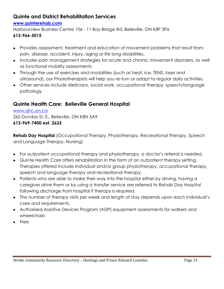### **Quinte and District Rehabilitation Services**

#### **[www.quinterehab.com](http://www.quinterehab.com/)**

Harbourview Business Centre 106 - 11 Bay Bridge Rd. Belleville, ON K8P 3P6

#### **613-966-5015**

- Provides assessment, treatment and education of movement problems that result from pain, disease, accident, injury, aging or life long disabilities.
- Includes pain management strategies for acute and chronic movement disorders, as well as functional mobility assessments.
- Through the use of exercises and modalities (such as heat, ice, TENS, laser and ultrasound), our Physiotherapists will help you re-turn or adapt to regular daily activities.
- Other services include dieticians, social work, occupational therapy, speech/language pathology

### **Quinte Health Care: Belleville General Hospital**

[www.qhc.on.ca](http://www.qhc.on.ca/) 265 Dundas St. E., Belleville, ON K8N 5A9 **613-969-7400 ext. 2633**

**Rehab Day Hospital** (Occupational Therapy, Physiotherapy, Recreational Therapy, Speech and Language Therapy, Nursing)

- For outpatient occupational therapy and physiotherapy, a doctor's referral is needed.
- Quinte Health Care offers rehabilitation in the form of an outpatient therapy setting. Therapies offered include individual and/or group physiotherapy, occupational therapy, speech and language therapy and recreational therapy.
- Patients who are able to make their way into the hospital either by driving, having a caregiver drive them or by using a transfer service are referred to Rehab Day Hospital following discharge from hospital if therapy is required.
- The number of therapy visits per week and length of stay depends upon each individual's case and requirements.
- Authorized Assistive Devices Program (ADP) equipment assessments for walkers and wheelchairs
- Free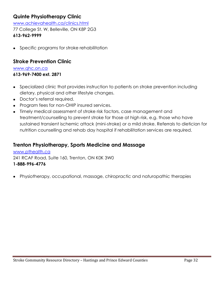## **Quinte Physiotherapy Clinic**

[www.achievahealth.ca/clinics.html](http://www.achievahealth.ca/clinics.html) 77 College St. W, Belleville, ON K8P 2G3 **613-962-9999**

• Specific programs for stroke rehabilitation

#### **Stroke Prevention Clinic**

[www.qhc.on.ca](http://www.qhc.on.ca/) **613-969-7400 ext. 2871**

- Specialized clinic that provides instruction to patients on stroke prevention including dietary, physical and other lifestyle changes.
- Doctor's referral required.
- Program fees for non-OHIP insured services.
- Timely medical assessment of stroke risk factors, case management and treatment/counselling to prevent stroke for those at high risk, e.g. those who have sustained transient ischemic attack (mini-stroke) or a mild stroke. Referrals to dietician for nutrition counselling and rehab day hospital if rehabilitation services are required.

#### **Trenton Physiotherapy, Sports Medicine and Massage**

[www.pthealth.ca](http://www.pthealth.ca/) 241 RCAF Road, Suite 160, Trenton, ON K0K 3W0 **1-888-996-4776**

Physiotherapy, occupational, massage, chiropractic and naturopathic therapies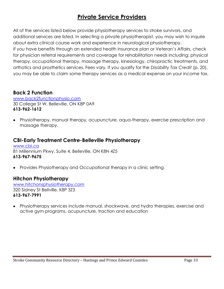## **Private Service Providers**

All of the services listed below provide physiotherapy services to stroke survivors, and additional services are listed. In selecting a private physiotherapist, you may wish to inquire about extra clinical course work and experience in neurological physiotherapy. If you have benefits through an extended health insurance plan or Veteran's Affairs, check for physician referral requirements and coverage for rehabilitation needs including: physical therapy, occupational therapy, massage therapy, kinesiology, chiropractic treatments, and orthotics and prosthetics services. Fees vary. If you qualify for the *Disability Tax Credit* (p. 20), you may be able to claim some therapy services as a medical expense on your income tax.

#### **Back 2 Function**

[www.back2functionphysio.com](http://www.back2functionphysio.com/) 30 College St W, Belleville, ON K8P 0A9 **613-962-1612**

Physiotherapy, manual therapy, acupuncture, aqua-therapy, exercise prescription and massage therapy.

#### **CBI-Early Treatment Centre-Belleville Physiotherapy**

[www.cbi.ca](http://www.cbi.ca/) 81 Millennium Pkwy, Suite 4, Belleville, ON K8N 4Z5 **613-967-9675**

Provides Physiotherapy and Occupational therapy in a clinic setting

## **Hitchon Physiotherapy**

[www.hitchonsphysiotherapy.com](http://www.hitchonsphysiotherapy.com/) 320 Sidney St Bellville, K8P 3Z3 **613-967-7991**

Physiotherapy services include manual, shockwave, and hydro therapies, exercise and active gym programs, acupuncture, traction and education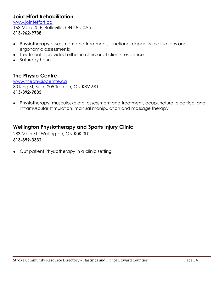#### **Joint Effort Rehabilitation**

[www.jointeffort.ca](http://www.jointeffort.ca/) 163 Moira St E, Belleville, ON K8N 0A5 **613-962-9738**

- Physiotherapy assessment and treatment, functional capacity evaluations and ergonomic assessments
- Treatment is provided either in clinic or at clients residence
- Saturday hours

#### **The Physio Centre**

[www.thephysiocentre.ca](http://www.thephysiocentre.ca/) 30 King St, Suite 205 Trenton, ON K8V 6B1 **613-392-7835**

Physiotherapy, musculoskeletal assessment and treatment, acupuncture, electrical and  $\bullet$ intramuscular stimulation, manual manipulation and massage therapy

#### **Wellington Physiotherapy and Sports Injury Clinic**

283 Main St., Wellington, ON K0K 3L0 **613-399-3332**

Out patient Physiotherapy in a clinic setting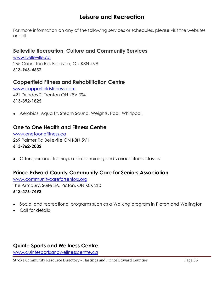## **Leisure and Recreation**

For more information on any of the following services or schedules, please visit the websites or call.

#### **Belleville Recreation, Culture and Community Services**

[www.belleville.ca](http://www.belleville.ca/) 265 Cannifton Rd, Belleville, ON K8N 4V8 **613-966-4632**

#### **Copperfield Fitness and Rehabilitation Centre**

[www.copperfieldsfitness.com](http://www.copperfieldsfitness.com/) 421 Dundas St Trenton ON K8V 3S4 **613-392-1825**

Aerobics, Aqua fit, Steam Sauna, Weights, Pool, Whirlpool.

#### **One to One Health and Fitness Centre**

[www.onetoonefitness.ca](http://www.onetoonefitness.ca/) 269 Palmer Rd Belleville ON K8N 5V1 **613-962-2032**

Offers personal training, athletic training and various fitness classes

#### **Prince Edward County Community Care for Seniors Association**

[www.communitycareforseniors.org](http://www.communitycareforseniors.org/) The Armoury, Suite 3A, Picton, ON K0K 2T0 **613-476-7493**

- Social and recreational programs such as a Walking program in Picton and Wellington
- Call for details

#### **Quinte Sports and Wellness Centre**

[www.quintesportsandwellnesscentre.ca](http://www.quintesportsandwellnesscentre.ca/)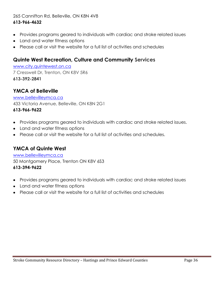#### 265 Cannifton Rd, Belleville, ON K8N 4V8 **613-966-4632**

- Provides programs geared to individuals with cardiac and stroke related issues
- Land and water fitness options
- Please call or visit the website for a full list of activities and schedules

#### **Quinte West Recreation, Culture and Community Services**

[www.city.quintewest.on.ca](http://www.city.quintewest.on.ca/)  7 Cresswell Dr, Trenton, ON K8V 5R6 **613-392-2841**

#### **YMCA of Belleville**

[www.bellevilleymca.ca](http://www.bellevilleymca.ca/) 433 Victoria Avenue, Belleville, ON K8N 2G1 **613-966-9622**

- Provides programs geared to individuals with cardiac and stroke related issues.
- Land and water fitness options
- Please call or visit the website for a full list of activities and schedules.

#### **YMCA of Quinte West**

# [www.bellevilleymca.ca](http://www.bellevilleymca.ca/)

50 Montgomery Place, Trenton ON K8V 6S3 **613-394-9622** 

- Provides programs geared to individuals with cardiac and stroke related issues
- Land and water fitness options
- Please call or visit the website for a full list of activities and schedules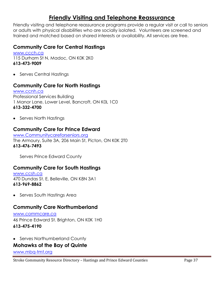## **Friendly Visiting and Telephone Reassurance**

Friendly visiting and telephone reassurance programs provide a regular visit or call to seniors or adults with physical disabilities who are socially isolated. Volunteers are screened and trained and matched based on shared interests or availability. All services are free.

#### **Community Care for Central Hastings**

[www.ccch.ca](http://www.ccch.ca/) 115 Durham St N, Madoc, ON K0K 2K0 **613-473-9009**

• Serves Central Hastings

#### **Community Care for North Hastings**

[www.ccnh.ca](http://www.ccnh.ca/) Professional Services Building 1 Manor Lane, Lower Level, Bancroft, ON K0L 1C0 **613-332-4700**

• Serves North Hastings

#### **Community Care for Prince Edward**

[www.Communitycareforseniors.org](http://www.communitycareforseniors.org/) The Armoury, Suite 3A, 206 Main St, Picton, ON K0K 2T0 **613-476-7493**

Serves Prince Edward County

#### **Community Care for South Hastings**

[www.ccsh.ca](http://www.ccsh.ca/) 470 Dundas St. E, Belleville, ON K8N 3A1 **613-969-8862**

• Serves South Hastings Area

#### **Community Care Northumberland**

[www.commcare.ca](http://www.commcare.ca/) 46 Prince Edward St. Brighton, ON K0K 1H0 **613-475-4190**

• Serves Northumberland County

#### **Mohawks of the Bay of Quinte**

[www.mbq-tmt.org](http://www.mbq-tmt.org/)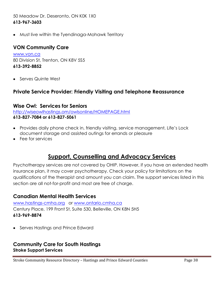#### 50 Meadow Dr. Deseronto, ON K0K 1X0 **613-967-3603**

Must live within the Tyendinaga-Mohawk Territory  $\bullet$ 

#### **VON Community Care**

[www.von.ca](http://www.von.ca/) 80 Division St, Trenton, ON K8V 5S5 **613-392-8852**

• Serves Quinte West

#### **Private Service Provider: Friendly Visiting and Telephone Reassurance**

#### **Wise Owl: Services for Seniors**

<http://wiseowlhastings.om/owlsonline/HOMEPAGE.html> **613-827-7084 or 613-827-5061**

- Provides daily phone check in, friendly visiting, service management, Life's Lock document storage and assisted outings for errands or pleasure
- Fee for services

## **Support, Counselling and Advocacy Services**

Psychotherapy services are not covered by OHIP. However, if you have an extended health insurance plan, it may cover psychotherapy. Check your policy for limitations on the qualifications of the therapist and amount you can claim. The support services listed in this section are all not-for-profit and most are free of charge.

#### **Canadian Mental Health Services**

[www.hastings-cmha.org](http://www.hastings-cmha.org/) or [www.ontario.cmha.ca](http://www.ontario.cmha.ca/) Century Place, 199 Front St, Suite 530, Belleville, ON K8N 5H5 **613-969-8874**

• Serves Hastings and Prince Edward

#### **Community Care for South Hastings Stroke Support Services**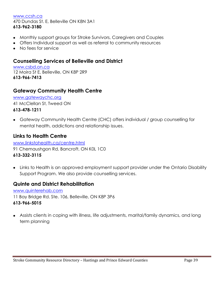#### [www.ccsh.ca](http://www.ccsh.ca/) 470 Dundas St. E, Belleville ON K8N 3A1 **613-962-3180**

- Monthly support groups for Stroke Survivors, Caregivers and Couples
- Offers Individual support as well as referral to community resources
- No fees for service

#### **Counselling Services of Belleville and District**

[www.csbd.on.ca](http://www.csbd.on.ca/) 12 Moira St E, Belleville, ON K8P 2R9 **613-966-7413**

#### **Gateway Community Health Centre**

[www.gatewaychc.org](http://www.gatewaychc.org/) 41 McClellan St, Tweed ON **613-478-1211**

Gateway Community Health Centre (CHC) offers individual / group counselling for mental health, addictions and relationship issues.

#### **Links to Health Centre**

[www.linkstohealth.ca/centre.html](http://www.linkstohealth.ca/centre.html) 91 Chemaushgon Rd, Bancroft, ON K0L 1C0 **613-332-3115** 

Links to Health is an approved employment support provider under the Ontario Disability Support Program. We also provide counselling services.

#### **Quinte and District Rehabilitation**

[www.quinterehab.com](http://www.quinterehab.com/) 11 Bay Bridge Rd. Ste. 106, Belleville, ON K8P 3P6 **613-966-5015**

Assists clients in coping with illness, life adjustments, marital/family dynamics, and long term planning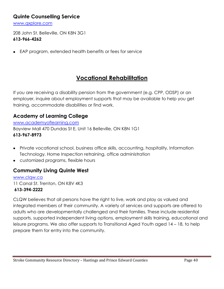#### **Quinte Counselling Service**

[www.qxplore.com](http://www.qxplore.com/)

208 John St. Belleville, ON K8N 3G1 **613-966-4262** 

EAP program, extended health benefits or fees for service  $\bullet$ 

## **Vocational Rehabilitation**

If you are receiving a disability pension from the government (e.g. CPP, ODSP) or an employer, inquire about employment supports that may be available to help you get training, accommodate disabilities or find work.

### **Academy of Learning College**

[www.academyoflearning.com](http://www.academyoflearning.com/) Bayview Mall 470 Dundas St E, Unit 16 Belleville, ON K8N 1G1 **613-967-8973**

- Private vocational school, business office skills, accounting, hospitality, Information Technology, Home Inspection retraining, office administration
- customized programs, flexible hours

### **Community Living Quinte West**

[www.clqw.ca](http://www.clqw.ca/) 11 Canal St. Trenton, ON K8V 4K3 **613-394-2222**

CLQW believes that all persons have the right to live, work and play as valued and integrated members of their community. A variety of services and supports are offered to adults who are developmentally challenged and their families. These include residential supports, supported independent living options, employment skills training, educational and leisure programs. We also offer supports to Transitional Aged Youth aged 14 – 18, to help prepare them for entry into the community.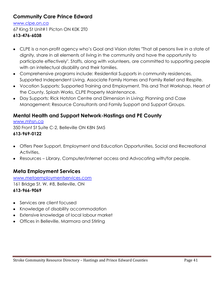## **Community Care Prince Edward**

[www.clpe.on.ca](http://www.clpe.on.ca/) 67 King St Unit#1 Picton ON K0K 2T0

#### **613-476-6038**

- CLPE is a non-profit agency who's Goal and Vision states "That all persons live in a state of dignity, share in all elements of living in the community and have the opportunity to participate effectively". Staffs, along with volunteers, are committed to supporting people with an intellectual disability and their families.
- Comprehensive programs include: Residential Supports in community residences, Supported Independent Living, Associate Family Homes and Family Relief and Respite.
- Vocation Supports: Supported Training and Employment, This and That Workshop, Heart of the County, Splash Works, CLPE Property Maintenance.
- Day Supports: Rick Hotston Centre and Dimension in Living; Planning and Case Management; Resource Consultants and Family Support and Support Groups.

#### **Mental Health and Support Network-Hastings and PE County**

[www.mhsn.ca](http://www.mhsn.ca/) 350 Front St Suite C-2, Belleville ON K8N 5M5 **613-969-0122**

- Offers Peer Support, Employment and Education Opportunities, Social and Recreational Activities,
- Resources Library, Computer/Internet access and Advocating with/for people.  $\bullet$

### **Meta Employment Services**

[www.metaemploymentservices.com](http://www.metaemploymentservices.com/) 161 Bridge St. W. #8, Belleville, ON **613-966-9069**

- Services are client focused
- Knowledge of disability accommodation
- Extensive knowledge of local labour market
- Offices in Belleville, Marmora and Stirling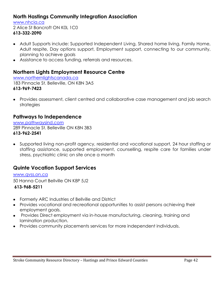#### **North Hastings Community Integration Association**

[www.nhcia.ca](http://www.nhcia.ca/) 2 Alice St Bancroft ON K0L 1C0 **613-332-2090**

- Adult Supports include: Supported Independent Living, Shared home living, Family Home, Adult respite, Day options support, Employment support, connecting to our community, planning to achieve goals
- Assistance to access funding, referrals and resources.

#### **Northern Lights Employment Resource Centre**

[www.northernlightscanada.ca](http://www.northernlightscanada.ca/) 183 Pinnacle St. Belleville, ON K8N 3A5 **613-969-7423**

Provides assessment, client centred and collaborative case management and job search strategies

#### **Pathways to Independence**

[www.pathwaysind.com](http://www.pathwaysind.com/) 289 Pinnacle St. Belleville ON K8N 3B3 **613-962-2541**

Supported living non-profit agency, residential and vocational support, 24 hour staffing or staffing assistance, supported employment, counselling, respite care for families under stress, psychiatric clinic on site once a month

#### **Quinte Vocation Support Services**

[www.qvss.on.ca](http://www.qvss.on.ca/) 50 Hanna Court Bellville ON K8P 5J2

**613-968-5211**

- Formerly ARC Industries of Bellville and District  $\bullet$
- Provides vocational and recreational opportunities to assist persons achieving their employment goals.
- Provides Direct employment via in-house manufacturing, cleaning, training and lamination production.
- Provides community placements services for more independent individuals.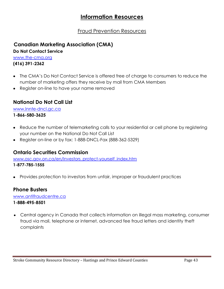## **Information Resources**

## Fraud Prevention Resources

## **Canadian Marketing Association (CMA)**

**Do Not Contact Service**

[www.the-cma.org](http://www.the-cma.org/) **(416) 391-2362**

- The CMA's Do Not Contact Service is offered free of charge to consumers to reduce the number of marketing offers they receive by mail from CMA Members
- Register on-line to have your name removed

## **National Do Not Call List**

[www.lnnte-dncl.gc.ca](http://www.lnnte-dncl.gc.ca/)

**1-866-580-3625** 

- Reduce the number of telemarketing calls to your residential or cell phone by registering your number on the National Do Not Call List
- Register on-line or by fax: 1-888-DNCL-Fax (888-362-5329)

#### **Ontario Securities Commission**

[www.osc.gov.on.ca/en/Investors\\_protect-yourself\\_index.htm](http://www.osc.gov.on.ca/en/Investors_protect-yourself_index.htm) **1-877-785-1555**

Provides protection to investors from unfair, improper or fraudulent practices  $\bullet$ 

#### **Phone Busters**

[www.antifraudcentre.ca](http://www.antifraudcentre.ca/)

#### **1-888-495-8501**

Central agency in Canada that collects information on illegal mass marketing, consumer fraud via mail, telephone or internet, advanced fee fraud letters and identity theft complaints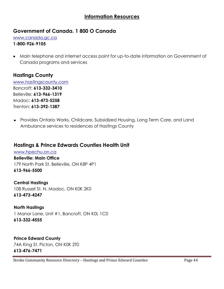#### **Information Resources**

#### **Government of Canada. 1 800 O Canada**

[www.canada.gc.ca](http://www.canada.gc.ca/)

#### **1-800-926-9105**

Main telephone and internet access point for up-to-date information on Government of Canada programs and services

#### **Hastings County**

[www.hastingscounty.com](http://www.hastingscounty.com/) Bancroft: **613-332-3410** Belleville: **613-966-1319** Madoc: **613-473-5258** Trenton: **613-392-1387**

Provides Ontario Works, Childcare, Subsidized Housing, Long Term Care, and Land Ambulance services to residences of Hastings County

#### **Hastings & Prince Edwards Counties Health Unit**

[www.hpechu.on.ca](http://www.hpechu.on.ca/) **Belleville: Main Office** 179 North Park St, Belleville, ON K8P 4P1 **613-966-5500**

**Central Hastings** 108 Russell St. N, Madoc, ON K0K 2K0 **613-473-4247**

**North Hastings** 1 Manor Lane, Unit #1, Bancroft, ON K0L 1C0 **613-332-4555**

**Prince Edward County** 74A King St. Picton, ON K0K 2T0 **613-476-7471**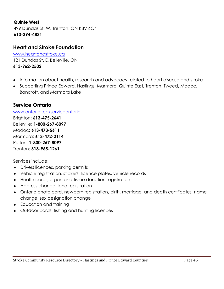#### **Quinte West**

499 Dundas St. W, Trenton, ON K8V 6C4 **613-394-4831**

#### **Heart and Stroke Foundation**

www.heartandstroke.ca 121 Dundas St. E, Belleville, ON **613-962-2502**

- Information about health, research and advocacy related to heart disease and stroke
- Supporting Prince Edward, Hastings, Marmora, Quinte East, Trenton, Tweed, Madoc, Bancroft, and Marmora Lake

#### **Service Ontario**

#### [www.ontario..ca/serviceontario](http://www.ontario..ca/serviceontario)

Brighton: **613-475-2641** Belleville: **1-800-267-8097** Madoc: **613-473-5611** Marmora: **613-472-2114** Picton: **1-800-267-8097** Trenton: **613-965-1261**

Services include:

- Drivers licences, parking permits
- Vehicle registration, stickers, licence plates, vehicle records
- Health cards, organ and tissue donation registration
- Address change, land registration
- Ontario photo card, newborn registration, birth, marriage, and death certificates, name change, sex designation change
- Education and training
- Outdoor cards, fishing and hunting licences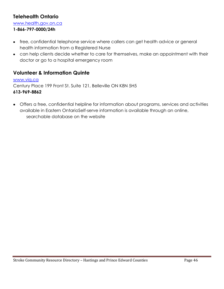### **Telehealth Ontario**

[www.health.gov.on.ca](http://www.health.gov.on.ca/)

#### **1-866-797-0000/24h**

- free, confidential telephone service where callers can get health advice or general health information from a Registered Nurse
- can help clients decide whether to care for themselves, make an appointment with their doctor or go to a hospital emergency room

#### **Volunteer & Information Quinte**

[www.viq.ca](http://www.volunteerkingston.ca/) Century Place 199 Front St. Suite 121, Belleville ON K8N 5H5 **613-969-8862**

Offers a free, confidential helpline for information about programs, services and activities available in Eastern OntarioSelf-serve information is available through an online, searchable database on the website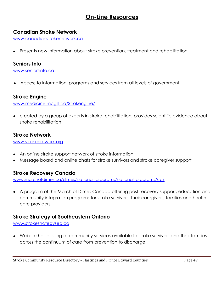## **On-Line Resources**

#### **Canadian Stroke Network**

[www.canadianstrokenetwork.ca](http://www.canadianstrokenetwork.ca/)

Presents new information about stroke prevention, treatment and rehabilitation

#### **Seniors Info**

[www.seniorsinfo.ca](http://www.seniorsinfo.ca/)

Access to information, programs and services from all levels of government

#### **Stroke Engine**

[www.medicine.mcgill.ca/Strokengine/](http://www.medicine.mcgill.ca/Strokengine/)

created by a group of experts in stroke rehabilitation, provides scientific evidence about stroke rehabilitation

#### **Stroke Network**

[www.strokenetwork.org](http://www.strokenetwork.org/)

- An online stroke support network of stroke information
- Message board and online chats for stroke survivors and stroke caregiver support

#### **Stroke Recovery Canada**

[www.marchofdimes.ca/dimes/national\\_programs/national\\_programs/src/](http://www.marchofdimes.ca/dimes/national_programs/national_programs/src/)

A program of the March of Dimes Canada offering post-recovery support, education and  $\bullet$ community integration programs for stroke survivors, their caregivers, families and health care providers

#### **Stroke Strategy of Southeastern Ontario**

[www.strokestrategyseo.ca](http://www.strokestrategyseo.ca/)

Website has a listing of community services available to stroke survivors and their families across the continuum of care from prevention to discharge.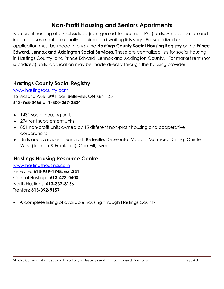## **Non-Profit Housing and Seniors Apartments**

Non-profit housing offers subsidized (rent-geared-to-income – RGI) units. An application and income assessment are usually required and waiting lists vary. For subsidized units, application must be made through the **Hastings County Social Housing Registry** or the **Prince Edward, Lennox and Addington Social Services.** These are centralized lists for social housing in Hastings County, and Prince Edward, Lennox and Addington County. For market rent (not subsidized) units, application may be made directly through the housing provider.

#### **Hastings County Social Registry**

[www.hastingscounty.com](http://www.hastingscounty.com/) 15 Victoria Ave. 2<sup>nd</sup> Floor, Belleville, ON K8N 1Z5 **613-968-3465 or 1-800-267-2804**

- 1431 social housing units
- 274 rent supplement units
- 851 non-profit units owned by 15 different non-profit housing and cooperative corporations
- Units are available in Bancroft, Belleville, Deseronto, Madoc, Marmora, Stirling, Quinte West (Trenton & Frankford), Coe Hill, Tweed

#### **Hastings Housing Resource Centre**

[www.hastingshousing.com](http://www.hastingshousing.com/) Belleville: **613-969-1748, ext.231** Central Hastings: **613-473-0400** North Hastings: **613-332-8156** Trenton: **613-392-9157**

A complete listing of available housing through Hastings County $\bullet$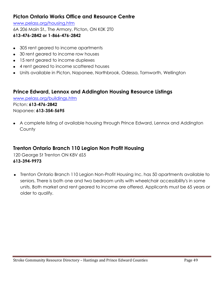### **Picton Ontario Works Office and Resource Centre**

[www.pelass.org/housing.htm](http://www.pelass.org/housing.htm) 6A 206 Main St., The Armory, Picton, ON K0K 2T0 **613-476-2842 or 1-866-476-2842**

- 305 rent geared to income apartments
- 30 rent geared to income row houses
- 15 rent geared to income duplexes
- 4 rent geared to income scattered houses
- Units available in Picton, Napanee, Northbrook, Odessa, Tamworth, Wellington

#### **Prince Edward, Lennox and Addington Housing Resource Listings**

[www.pelass.org/buildings.htm](http://www.pelass.org/buildings.htm) Picton: **613-476-2842** Napanee: **613-354-5695**

A complete listing of available housing through Prince Edward, Lennox and Addington **County** 

### **Trenton Ontario Branch 110 Legion Non Profit Housing**

120 George St Trenton ON K8V 6S5 **613-394-9973**

Trenton Ontario Branch 110 Legion Non-Profit Housing Inc. has 50 apartments available to seniors. There is both one and two bedroom units with wheelchair accessibility's in some units. Both market and rent geared to income are offered. Applicants must be 65 years or older to qualify.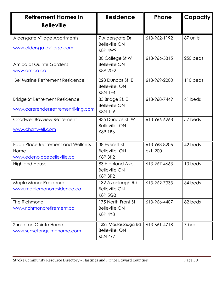| <b>Retirement Homes in</b><br><b>Belleville</b>                                 | <b>Residence</b>                                             | <b>Phone</b>             | <b>Capacity</b> |
|---------------------------------------------------------------------------------|--------------------------------------------------------------|--------------------------|-----------------|
| Aldersgate Village Apartments<br>www.aldersgatevillage.com                      | 7 Aldersgate Dr.<br><b>Belleville ON</b><br><b>K8P 4W9</b>   | 613-962-1192             | 87 units        |
| Amica at Quinte Gardens<br>www.amica.ca                                         | 30 College St W<br><b>Belleville ON</b><br><b>K8P 2G2</b>    | 613-966-5815             | 250 beds        |
| <b>Bel Marine Retirement Residence</b>                                          | 228 Dundas St. E<br>Belleville, ON<br><b>K8N 1E4</b>         | 613-969-2200             | 110 beds        |
| <b>Bridge St Retirement Residence</b><br>www.carerendersretirementliving.com    | 85 Bridge St. E<br><b>Belleville ON</b><br><b>K8N 1L9</b>    | 613-968-7449             | 61 beds         |
| Chartwell Bayview Retirement<br>www.chartwell.com                               | 435 Dundas St. W<br>Belleville, ON<br><b>K8P 1B6</b>         | 613-966-6268             | 57 beds         |
| <b>Edan Place Retirement and Wellness</b><br>Home<br>www.edenplacebelleville.ca | 38 Everett St.<br>Belleville, ON<br><b>K8P 3K2</b>           | 613-968-8206<br>ext. 200 | 42 beds         |
| <b>Highland House</b>                                                           | 83 Highland Ave<br><b>Belleville ON</b><br><b>K8P 3R2</b>    | 613-967-4663             | 10 beds         |
| Maple Manor Residence<br>www.maplemanorresidence.ca                             | 132 Avonlough Rd<br><b>Belleville ON</b><br><b>K8P 5G3</b>   | 613-962-7333             | 64 beds         |
| The Richmond<br>www.richmondretirement.ca                                       | 175 North Front St<br><b>Belleville ON</b><br><b>K8P 4Y8</b> | 613-966-4407             | 82 beds         |
| Sunset on Quinte Home<br>www.sunsetonquintehome.com                             | 1223 Massassauga Rd<br>Belleville, ON<br><b>K8N 4Z7</b>      | 613-661-4718             | 7 beds          |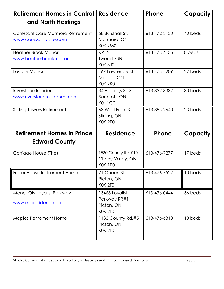| <b>Retirement Homes in Central</b><br>and North Hastings   | <b>Residence</b>                                               | <b>Phone</b> | Capacity |
|------------------------------------------------------------|----------------------------------------------------------------|--------------|----------|
| Caressant Care Marmora Retirement<br>www.caressantcare.com | 58 Bursthall St.<br>Marmora, ON<br>KOK 2MO                     | 613-472-3130 | 40 beds  |
| <b>Heather Brook Manor</b><br>www.heatherbrookmanor.ca     | <b>RR#2</b><br>Tweed, ON<br>KOK 3JO                            | 613-478-6135 | 8 beds   |
| LaCole Manor                                               | 167 Lawrence St. E<br>Madoc, ON<br>KOK 2KO                     | 613-473-4209 | 27 beds  |
| Riverstone Residence<br>www.riverstoneresidence.com        | 34 Hastings St. S<br>Bancroft, ON<br>KOL 1CO                   | 613-332-3337 | 30 beds  |
| <b>Stirling Towers Retirement</b>                          | 63 West Front St.<br>Stirling, ON<br>KOK 2EO                   | 613-395-2640 | 23 beds  |
| <b>Retirement Homes in Prince</b><br><b>Edward County</b>  | <b>Residence</b>                                               | <b>Phone</b> | Capacity |
| Carriage House (The)                                       | 1530 County Rd.#10<br>Cherry Valley, ON<br>KOK 1PO             | 613-476-7277 | 17 beds  |
| Fraser House Retirement Home                               | 71 Queen St.<br>Picton, ON<br><b>KOK 2TO</b>                   | 613-476-7527 | 10 beds  |
| Manor ON Loyalist Parkway<br>www.mlpresidence.ca           | 13468 Loyalist<br>Parkway RR#1<br>Picton, ON<br><b>KOK 2TO</b> | 613-476-0444 | 36 beds  |
| <b>Maples Retirement Home</b>                              | 1133 County Rd.#5<br>Picton, ON<br><b>KOK 2TO</b>              | 613-476-6318 | 10 beds  |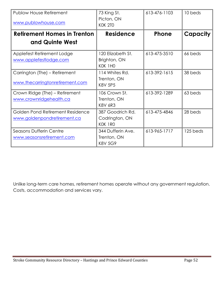| <b>Publow House Retirement</b><br>www.publowhouse.com            | 73 King St.<br>Picton, ON<br><b>KOK 2TO</b>        | 613-476-1103 | 10 beds  |
|------------------------------------------------------------------|----------------------------------------------------|--------------|----------|
| Retirement Homes in Trenton                                      | <b>Residence</b>                                   | <b>Phone</b> | Capacity |
| and Quinte West                                                  |                                                    |              |          |
| Applefest Retirement Lodge<br>www.applefestlodge.com             | 120 Elizabeth St.<br>Brighton, ON<br>KOK 1HO       | 613-475-3510 | 66 beds  |
| Carrington (The) – Retirement<br>www.thecarringtonretirement.com | 114 Whites Rd.<br>Trenton, ON<br><b>K8V 5P5</b>    | 613-392-1615 | 38 beds  |
| Crown Ridge (The) – Retirement<br>www.crownridgehealth.ca        | 106 Crown St.<br>Trenton, ON<br><b>K8V 6R3</b>     | 613-392-1289 | 63 beds  |
| Golden Pond Retirement Residence<br>www.goldenpondretirement.ca  | 387 Goodrich Rd.<br>Codrington, ON<br>KOK 1RO      | 613-475-4846 | 28 beds  |
| <b>Seasons Dufferin Centre</b><br>www.seasonsretirement.com      | 344 Dufferin Ave.<br>Trenton, ON<br><b>K8V 5G9</b> | 613-965-1717 | 125 beds |

Unlike long-term care homes, retirement homes operate without any government regulation. Costs, accommodation and services vary.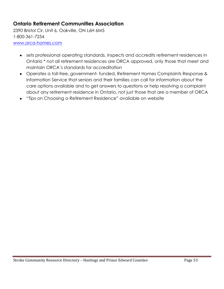## **Ontario Retirement Communities Association**

2390 Bristol Cir, Unit 6, Oakville, ON L6H 6M5 1-800-361-7254 [www.orca-homes.com](http://www.orca-homes.com/)

- sets professional operating standards, inspects and accredits retirement residences in Ontario \* not all retirement residences are ORCA approved, only those that meet and maintain ORCA's standards for accreditation
- Operates a toll-free, government- funded, Retirement Homes Complaints Response & Information Service that seniors and their families can call for information about the care options available and to get answers to questions or help resolving a complaint about any retirement residence in Ontario, not just those that are a member of ORCA
- "Tips on Choosing a Retirement Residence" available on website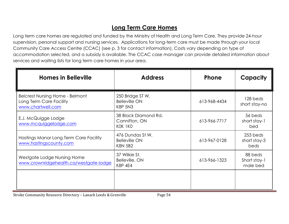# **Long Term Care Homes**

Long term care homes are regulated and funded by the Ministry of Health and Long Term Care. They provide 24-hour supervision, personal support and nursing services. Applications for long-term care must be made through your local Community Care Access Centre (CCAC) (see p. 3 for contact information). Costs vary depending on type of accommodation selected, and a subsidy is available. The CCAC case manager can provide detailed information about services and waiting lists for long term care homes in your area.

| <b>Homes in Belleville</b>                                                             | <b>Address</b>                                             | Phone        | <b>Capacity</b>                     |
|----------------------------------------------------------------------------------------|------------------------------------------------------------|--------------|-------------------------------------|
| <b>Belcrest Nursing Home - Belmont</b><br>Long Term Care Facility<br>www.chartwell.com | 250 Bridge ST W,<br><b>Belleville ON</b><br><b>K8P 5N3</b> | 613-968-4434 | 128 beds<br>short stay-no           |
| E.J. McQuigge Lodge<br>www.mcquiggelodge.com                                           | 38 Black Diamond Rd,<br>Cannifton, ON<br>KOK 1KO           | 613-966-7717 | 56 beds<br>short stay-1<br>bed      |
| Hastings Manor Long Term Care Facility<br>www.hastingscounty.com                       | 476 Dundas St W,<br><b>Belleville ON</b><br><b>K8N 5B2</b> | 613-967-0128 | 253 beds<br>short stay-3<br>beds    |
| Westgate Lodge Nursing Home<br>www.crownridgehealth.ca/westgate-lodge                  | 37 Wilkie St.<br>Belleville, ON<br><b>K8P 4E4</b>          | 613-966-1323 | 88 beds<br>Short stay-1<br>male bed |
|                                                                                        |                                                            |              |                                     |

Stroke Community Resource Directory - Lanark Leeds & Grenville Page 54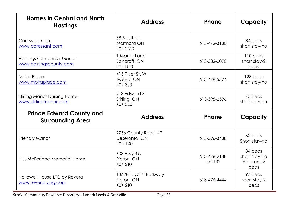| <b>Homes in Central and North</b><br><b>Hastings</b>        | <b>Address</b>                                                         | Phone                   | Capacity                                       |
|-------------------------------------------------------------|------------------------------------------------------------------------|-------------------------|------------------------------------------------|
| <b>Caressant Care</b><br>www.caressant.com                  | 58 Bursthall,<br>Marmora ON<br>KOK 2MO                                 | 613-472-3130            | 84 beds<br>short stay-no                       |
| Hastings Centennial Manor<br>www.hastingscounty.com         | 1 Manor Lane<br>Bancroft, ON<br>KOL 1CO                                | 613-332-2070            | 110 beds<br>short stay-2<br>beds               |
| Moira Place<br>www.moiraplace.com                           | 415 River St. W<br>Tweed, ON<br><b>KOK 3JO</b>                         | 613-478-5524            | 128 beds<br>short stay-no                      |
| <b>Stirling Manor Nursing Home</b><br>www.stirlingmanor.com | 218 Edward St.<br>Stirling, ON<br>KOK 3EO                              | 613-395-2596            | 75 beds<br>short stay-no                       |
| <b>Prince Edward County and</b><br><b>Surrounding Area</b>  | <b>Address</b>                                                         | Phone                   | Capacity                                       |
| <b>Friendly Manor</b>                                       | 9756 County Road #2<br>Deseronto, ON<br>613-396-3438<br>KOK 1XO        |                         | 60 beds<br>Short stay-no                       |
| H.J. McFarland Memorial Home                                | 603 Hwy 49,<br>Picton, ON<br><b>KOK 2TO</b>                            | 613-476-2138<br>ext.132 | 84 beds<br>short stay-no<br>Veterans-2<br>beds |
| Hallowell House LTC by Revera<br>www.reveraliving.com       | 13628 Loyalist Parkway<br>Picton, ON<br>613-476-4444<br><b>KOK 2TO</b> |                         | 97 beds<br>short stay-2<br>beds                |

Stroke Community Resource Directory - Lanark Leeds & Grenville Page 55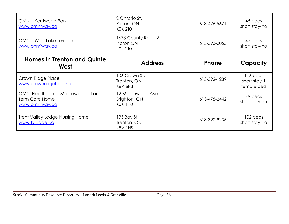| <b>OMNI - Kentwood Park</b><br>www.omniway.ca                          | 2 Ontario St,<br>Picton, ON<br><b>KOK 2TO</b>     | 613-476-5671 | 45 beds<br>short stay-no               |
|------------------------------------------------------------------------|---------------------------------------------------|--------------|----------------------------------------|
| <b>OMNI - West Lake Terrace</b><br>www.onmiway.ca                      | 1673 County Rd #12<br>Picton ON<br><b>KOK 2TO</b> | 613-393-2055 | 47 beds<br>short stay-no               |
| <b>Homes in Trenton and Quinte</b><br>West                             | <b>Address</b>                                    | <b>Phone</b> | Capacity                               |
| Crown Ridge Place<br>www.crownridgehealth.ca                           | 106 Crown St,<br>Trenton, ON<br><b>K8V 6R3</b>    | 613-392-1289 | 116 beds<br>short stay-1<br>female bed |
| OMNI Healthcare - Maplewood - Long<br>Term Care Home<br>www.omniway.ca | 12 Maplewood Ave.<br>Brighton, ON<br>KOK 1HO      | 613-475-2442 | 49 beds<br>short stay-no               |
| <b>Trent Valley Lodge Nursing Home</b><br>www.tvlodge.ca               | 195 Bay St,<br>Trenton, ON<br><b>K8V 1H9</b>      | 613-392-9235 | 102 beds<br>short stay-no              |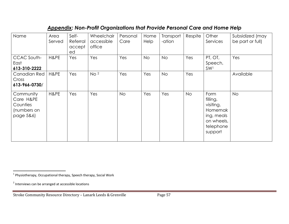## *Appendix: Non-Profit Organizations that Provide Personal Care and Home Help*

| Name                                                           | Area<br>Served | Self-<br>Referral<br>accept<br>ed | Wheelchair<br>accessible<br>office | Personal<br>Care | Home<br>Help | Transport<br>-ation | Respite   | Other<br>Services                                                                            | Subsidized (may<br>be part or full) |
|----------------------------------------------------------------|----------------|-----------------------------------|------------------------------------|------------------|--------------|---------------------|-----------|----------------------------------------------------------------------------------------------|-------------------------------------|
| CCAC South-<br>East<br>613-310-2222                            | H&PE           | Yes                               | Yes                                | Yes              | <b>No</b>    | <b>No</b>           | Yes       | PT, OT,<br>Speech,<br>SW <sub>1</sub>                                                        | Yes                                 |
| Canadian Red<br>Cross<br>613-966-0730/                         | H&PE           | Yes                               | No <sup>2</sup>                    | Yes              | Yes          | <b>No</b>           | Yes       |                                                                                              | Available                           |
| Community<br>Care H&PE<br>Counties<br>(numbers on<br>page 5&6) | H&PE           | Yes                               | Yes                                | <b>No</b>        | Yes          | Yes                 | <b>No</b> | Form<br>filling,<br>visiting,<br>Homemak<br>ing, meals<br>on wheels,<br>telephone<br>support | <b>No</b>                           |

 1 Physiotherapy, Occupational therapy, Speech therapy, Social Work

<sup>&</sup>lt;sup>2</sup> Interviews can be arranged at accessible locations